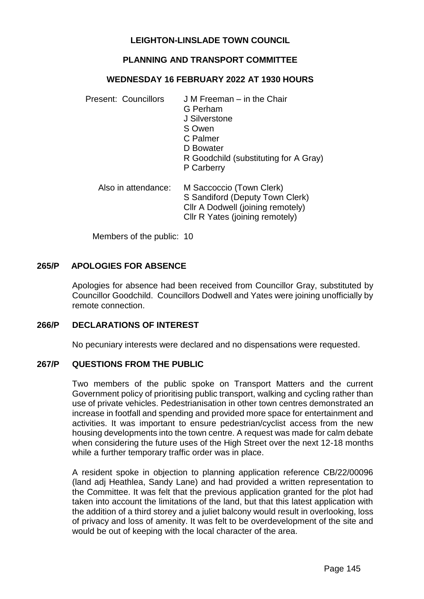### **LEIGHTON-LINSLADE TOWN COUNCIL**

### **PLANNING AND TRANSPORT COMMITTEE**

#### **WEDNESDAY 16 FEBRUARY 2022 AT 1930 HOURS**

| Present: Councillors | J M Freeman – in the Chair<br>G Perham<br>J Silverstone<br>S Owen<br>C Palmer<br>D Bowater<br>R Goodchild (substituting for A Gray)<br>P Carberry |
|----------------------|---------------------------------------------------------------------------------------------------------------------------------------------------|
| Also in attendance:  | M Saccoccio (Town Clerk)<br>S Sandiford (Deputy Town Clerk)<br>Cllr A Dodwell (joining remotely)<br>Cllr R Yates (joining remotely)               |

Members of the public: 10

#### **265/P APOLOGIES FOR ABSENCE**

Apologies for absence had been received from Councillor Gray, substituted by Councillor Goodchild. Councillors Dodwell and Yates were joining unofficially by remote connection.

### **266/P DECLARATIONS OF INTEREST**

No pecuniary interests were declared and no dispensations were requested.

#### **267/P QUESTIONS FROM THE PUBLIC**

Two members of the public spoke on Transport Matters and the current Government policy of prioritising public transport, walking and cycling rather than use of private vehicles. Pedestrianisation in other town centres demonstrated an increase in footfall and spending and provided more space for entertainment and activities. It was important to ensure pedestrian/cyclist access from the new housing developments into the town centre. A request was made for calm debate when considering the future uses of the High Street over the next 12-18 months while a further temporary traffic order was in place.

A resident spoke in objection to planning application reference CB/22/00096 (land adj Heathlea, Sandy Lane) and had provided a written representation to the Committee. It was felt that the previous application granted for the plot had taken into account the limitations of the land, but that this latest application with the addition of a third storey and a juliet balcony would result in overlooking, loss of privacy and loss of amenity. It was felt to be overdevelopment of the site and would be out of keeping with the local character of the area.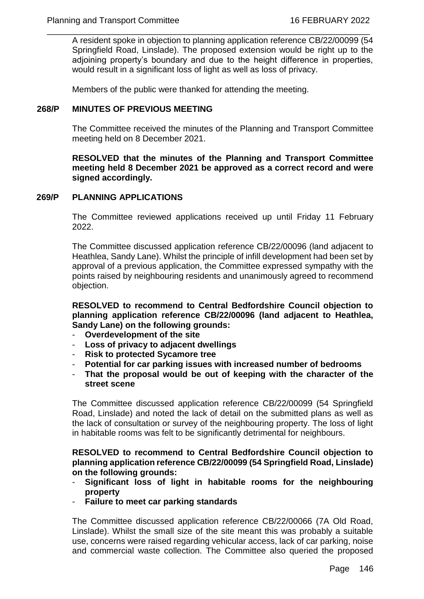$\frac{1}{2}$  , and the contribution of the contribution of the contribution of the contribution of the contribution of the contribution of the contribution of the contribution of the contribution of the contribution of the c A resident spoke in objection to planning application reference CB/22/00099 (54 Springfield Road, Linslade). The proposed extension would be right up to the adjoining property's boundary and due to the height difference in properties, would result in a significant loss of light as well as loss of privacy.

Members of the public were thanked for attending the meeting.

### **268/P MINUTES OF PREVIOUS MEETING**

The Committee received the minutes of the Planning and Transport Committee meeting held on 8 December 2021.

**RESOLVED that the minutes of the Planning and Transport Committee meeting held 8 December 2021 be approved as a correct record and were signed accordingly.**

#### **269/P PLANNING APPLICATIONS**

The Committee reviewed applications received up until Friday 11 February 2022.

The Committee discussed application reference CB/22/00096 (land adjacent to Heathlea, Sandy Lane). Whilst the principle of infill development had been set by approval of a previous application, the Committee expressed sympathy with the points raised by neighbouring residents and unanimously agreed to recommend objection.

**RESOLVED to recommend to Central Bedfordshire Council objection to planning application reference CB/22/00096 (land adjacent to Heathlea, Sandy Lane) on the following grounds:**

- **Overdevelopment of the site**
- **Loss of privacy to adjacent dwellings**
- **Risk to protected Sycamore tree**
- **Potential for car parking issues with increased number of bedrooms**
- **That the proposal would be out of keeping with the character of the street scene**

The Committee discussed application reference CB/22/00099 (54 Springfield Road, Linslade) and noted the lack of detail on the submitted plans as well as the lack of consultation or survey of the neighbouring property. The loss of light in habitable rooms was felt to be significantly detrimental for neighbours.

**RESOLVED to recommend to Central Bedfordshire Council objection to planning application reference CB/22/00099 (54 Springfield Road, Linslade) on the following grounds:**

- **Significant loss of light in habitable rooms for the neighbouring property**
- **Failure to meet car parking standards**

The Committee discussed application reference CB/22/00066 (7A Old Road, Linslade). Whilst the small size of the site meant this was probably a suitable use, concerns were raised regarding vehicular access, lack of car parking, noise and commercial waste collection. The Committee also queried the proposed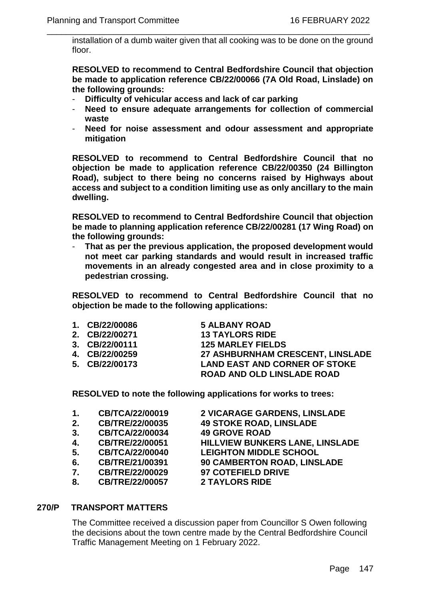installation of a dumb waiter given that all cooking was to be done on the ground floor.

 $\frac{1}{2}$  , and the contribution of the contribution of the contribution of the contribution of the contribution of the contribution of the contribution of the contribution of the contribution of the contribution of the c

**RESOLVED to recommend to Central Bedfordshire Council that objection be made to application reference CB/22/00066 (7A Old Road, Linslade) on the following grounds:**

- **Difficulty of vehicular access and lack of car parking**
- **Need to ensure adequate arrangements for collection of commercial waste**
- **Need for noise assessment and odour assessment and appropriate mitigation**

**RESOLVED to recommend to Central Bedfordshire Council that no objection be made to application reference CB/22/00350 (24 Billington Road), subject to there being no concerns raised by Highways about access and subject to a condition limiting use as only ancillary to the main dwelling.** 

**RESOLVED to recommend to Central Bedfordshire Council that objection be made to planning application reference CB/22/00281 (17 Wing Road) on the following grounds:**

- **That as per the previous application, the proposed development would not meet car parking standards and would result in increased traffic movements in an already congested area and in close proximity to a pedestrian crossing.** 

**RESOLVED to recommend to Central Bedfordshire Council that no objection be made to the following applications:**

- **1. CB/22/00086 5 ALBANY ROAD**
- **2. CB/22/00271 13 TAYLORS RIDE 3. CB/22/00111 125 MARLEY FIELDS 27 ASHBURNHAM CRESCENT, LINSLADE 5. CB/22/00173 LAND EAST AND CORNER OF STOKE ROAD AND OLD LINSLADE ROAD**

**RESOLVED to note the following applications for works to trees:** 

| 1. | CB/TCA/22/00019        | 2 VICARAGE GARDENS, LINSLADE       |
|----|------------------------|------------------------------------|
| 2. | <b>CB/TRE/22/00035</b> | <b>49 STOKE ROAD, LINSLADE</b>     |
| 3. | CB/TCA/22/00034        | <b>49 GROVE ROAD</b>               |
| 4. | CB/TRE/22/00051        | HILLVIEW BUNKERS LANE, LINSLADE    |
| 5. | <b>CB/TCA/22/00040</b> | <b>LEIGHTON MIDDLE SCHOOL</b>      |
| 6. | CB/TRE/21/00391        | <b>90 CAMBERTON ROAD, LINSLADE</b> |
| 7. | CB/TRE/22/00029        | <b>97 COTEFIELD DRIVE</b>          |
| 8. | <b>CB/TRE/22/00057</b> | <b>2 TAYLORS RIDE</b>              |
|    |                        |                                    |

### **270/P TRANSPORT MATTERS**

The Committee received a discussion paper from Councillor S Owen following the decisions about the town centre made by the Central Bedfordshire Council Traffic Management Meeting on 1 February 2022.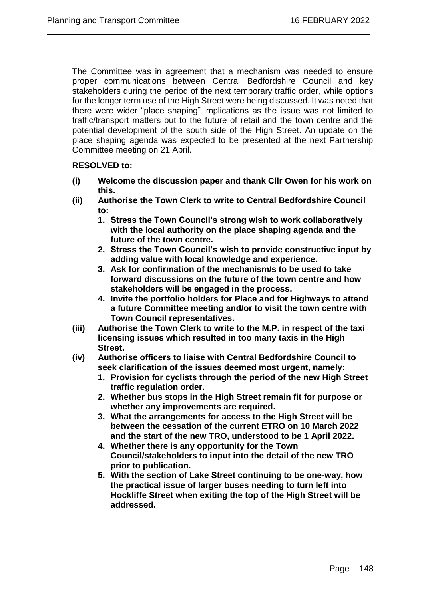The Committee was in agreement that a mechanism was needed to ensure proper communications between Central Bedfordshire Council and key stakeholders during the period of the next temporary traffic order, while options for the longer term use of the High Street were being discussed. It was noted that there were wider "place shaping" implications as the issue was not limited to traffic/transport matters but to the future of retail and the town centre and the potential development of the south side of the High Street. An update on the place shaping agenda was expected to be presented at the next Partnership Committee meeting on 21 April.

 $\frac{1}{2}$  , and the contribution of the contribution of the contribution of the contribution of the contribution of the contribution of the contribution of the contribution of the contribution of the contribution of the c

# **RESOLVED to:**

- **(i) Welcome the discussion paper and thank Cllr Owen for his work on this.**
- **(ii) Authorise the Town Clerk to write to Central Bedfordshire Council to:**
	- **1. Stress the Town Council's strong wish to work collaboratively with the local authority on the place shaping agenda and the future of the town centre.**
	- **2. Stress the Town Council's wish to provide constructive input by adding value with local knowledge and experience.**
	- **3. Ask for confirmation of the mechanism/s to be used to take forward discussions on the future of the town centre and how stakeholders will be engaged in the process.**
	- **4. Invite the portfolio holders for Place and for Highways to attend a future Committee meeting and/or to visit the town centre with Town Council representatives.**
- **(iii) Authorise the Town Clerk to write to the M.P. in respect of the taxi licensing issues which resulted in too many taxis in the High Street.**
- **(iv) Authorise officers to liaise with Central Bedfordshire Council to seek clarification of the issues deemed most urgent, namely:**
	- **1. Provision for cyclists through the period of the new High Street traffic regulation order.**
	- **2. Whether bus stops in the High Street remain fit for purpose or whether any improvements are required.**
	- **3. What the arrangements for access to the High Street will be between the cessation of the current ETRO on 10 March 2022 and the start of the new TRO, understood to be 1 April 2022.**
	- **4. Whether there is any opportunity for the Town Council/stakeholders to input into the detail of the new TRO prior to publication.**
	- **5. With the section of Lake Street continuing to be one-way, how the practical issue of larger buses needing to turn left into Hockliffe Street when exiting the top of the High Street will be addressed.**